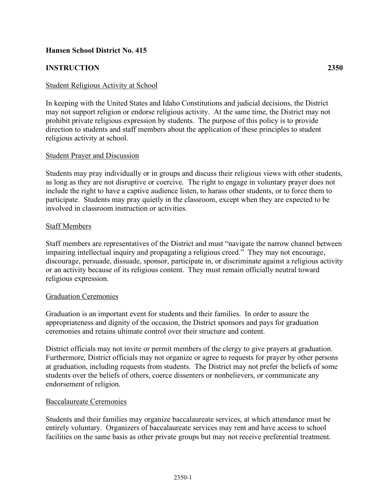# **Hansen School District No. 415**

# **INSTRUCTION 2350**

### Student Religious Activity at School

In keeping with the United States and Idaho Constitutions and judicial decisions, the District may not support religion or endorse religious activity. At the same time, the District may not prohibit private religious expression by students. The purpose of this policy is to provide direction to students and staff members about the application of these principles to student religious activity at school.

#### Student Prayer and Discussion

Students may pray individually or in groups and discuss their religious views with other students, as long as they are not disruptive or coercive. The right to engage in voluntary prayer does not include the right to have a captive audience listen, to harass other students, or to force them to participate. Students may pray quietly in the classroom, except when they are expected to be involved in classroom instruction or activities.

#### Staff Members

Staff members are representatives of the District and must "navigate the narrow channel between impairing intellectual inquiry and propagating a religious creed." They may not encourage, discourage, persuade, dissuade, sponsor, participate in, or discriminate against a religious activity or an activity because of its religious content. They must remain officially neutral toward religious expression.

#### Graduation Ceremonies

Graduation is an important event for students and their families. In order to assure the appropriateness and dignity of the occasion, the District sponsors and pays for graduation ceremonies and retains ultimate control over their structure and content.

District officials may not invite or permit members of the clergy to give prayers at graduation. Furthermore, District officials may not organize or agree to requests for prayer by other persons at graduation, including requests from students. The District may not prefer the beliefs of some students over the beliefs of others, coerce dissenters or nonbelievers, or communicate any endorsement of religion.

#### Baccalaureate Ceremonies

Students and their families may organize baccalaureate services, at which attendance must be entirely voluntary. Organizers of baccalaureate services may rent and have access to school facilities on the same basis as other private groups but may not receive preferential treatment.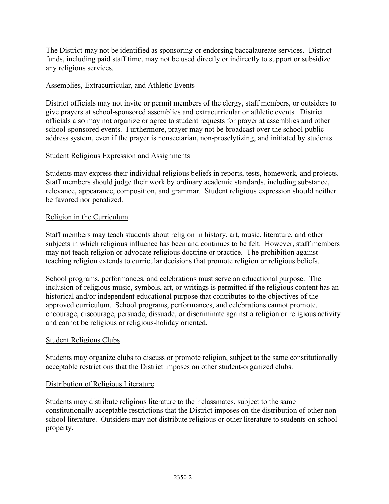The District may not be identified as sponsoring or endorsing baccalaureate services. District funds, including paid staff time, may not be used directly or indirectly to support or subsidize any religious services.

### Assemblies, Extracurricular, and Athletic Events

District officials may not invite or permit members of the clergy, staff members, or outsiders to give prayers at school-sponsored assemblies and extracurricular or athletic events. District officials also may not organize or agree to student requests for prayer at assemblies and other school-sponsored events. Furthermore, prayer may not be broadcast over the school public address system, even if the prayer is nonsectarian, non-proselytizing, and initiated by students.

# Student Religious Expression and Assignments

Students may express their individual religious beliefs in reports, tests, homework, and projects. Staff members should judge their work by ordinary academic standards, including substance, relevance, appearance, composition, and grammar. Student religious expression should neither be favored nor penalized.

# Religion in the Curriculum

Staff members may teach students about religion in history, art, music, literature, and other subjects in which religious influence has been and continues to be felt. However, staff members may not teach religion or advocate religious doctrine or practice. The prohibition against teaching religion extends to curricular decisions that promote religion or religious beliefs.

School programs, performances, and celebrations must serve an educational purpose. The inclusion of religious music, symbols, art, or writings is permitted if the religious content has an historical and/or independent educational purpose that contributes to the objectives of the approved curriculum. School programs, performances, and celebrations cannot promote, encourage, discourage, persuade, dissuade, or discriminate against a religion or religious activity and cannot be religious or religious-holiday oriented.

### Student Religious Clubs

Students may organize clubs to discuss or promote religion, subject to the same constitutionally acceptable restrictions that the District imposes on other student-organized clubs.

### Distribution of Religious Literature

Students may distribute religious literature to their classmates, subject to the same constitutionally acceptable restrictions that the District imposes on the distribution of other nonschool literature. Outsiders may not distribute religious or other literature to students on school property.